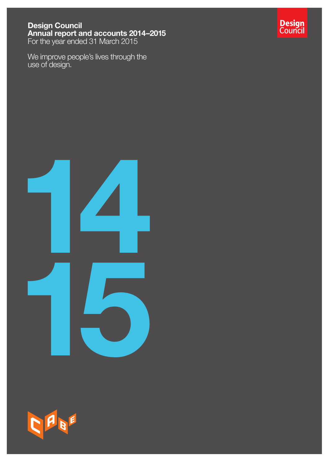### Design Council Annual report and accounts 2014–2015 For the year ended 31 March 2015

We improve people's lives through the use of design.







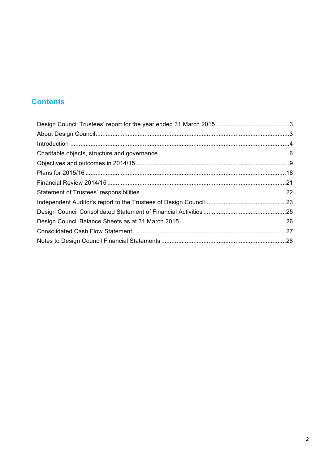# **Contents**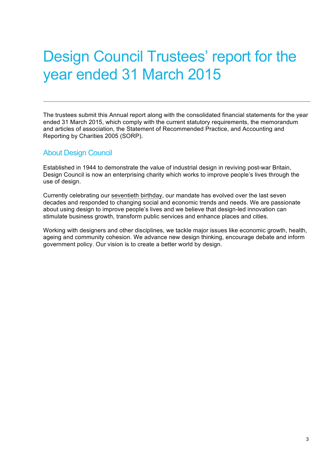# Design Council Trustees' report for the year ended 31 March 2015

The trustees submit this Annual report along with the consolidated financial statements for the year ended 31 March 2015, which comply with the current statutory requirements, the memorandum and articles of association, the Statement of Recommended Practice, and Accounting and Reporting by Charities 2005 (SORP).

### About Design Council

Established in 1944 to demonstrate the value of industrial design in reviving post-war Britain, Design Council is now an enterprising charity which works to improve people's lives through the use of design.

Currently celebrating our [seventieth birthday](http://www.designcouncil.org.uk/about-us/celebrating-70-years), our mandate has evolved over the last seven decades and responded to changing social and economic trends and needs. We are passionate about using design to improve people's lives and we believe that design-led innovation can stimulate business growth, transform public services and enhance places and cities.

Working with designers and other disciplines, we tackle major issues like economic growth, health, ageing and community cohesion. We advance new design thinking, encourage debate and inform government policy. Our vision is to create a better world by design.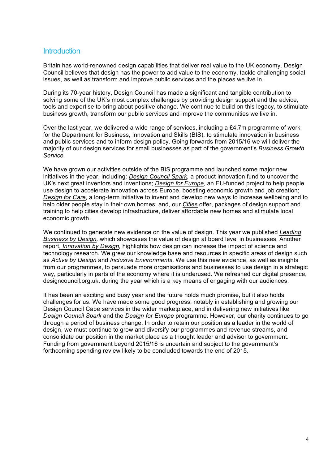### **Introduction**

Britain has world-renowned design capabilities that deliver real value to the UK economy. Design Council believes that design has the power to add value to the economy, tackle challenging social issues, as well as transform and improve public services and the places we live in.

During its 70-year history, Design Council has made a significant and tangible contribution to solving some of the UK's most complex challenges by providing design support and the advice, tools and expertise to bring about positive change. We continue to build on this legacy, to stimulate business growth, transform our public services and improve the communities we live in.

Over the last year, we delivered a wide range of services, including a £4.7m programme of work for the Department for Business, Innovation and Skills (BIS), to stimulate innovation in business and public services and to inform design policy. Going forwards from 2015/16 we will deliver the majority of our design services for small businesses as part of the government's *Business Growth Service.* 

We have grown our activities outside of the BIS programme and launched some major new initiatives in the year, including: *[Design Council](http://www.designcouncil.org.uk/projects/spark-innovation-fund) Spark,* a product innovation fund to uncover the UK's next great inventors and inventions; *[Design for Europe,](http://designforeurope.eu/)* an EU-funded project to help people use design to accelerate innovation across Europe, boosting economic growth and job creation; *[Design for Care](http://www.designcouncil.org.uk/projects/design-care)*, a long-term initiative to invent and develop new ways to increase wellbeing and to help older people stay in their own homes; and, our *[Cities](http://www.designcouncil.org.uk/our-services/built-environment-cabe)* offer, packages of design support and training to help cities develop infrastructure, deliver affordable new homes and stimulate local economic growth.

We continued to generate new evidence on the value of design. This year we published *Leading Business by Design,* which showcases [the value of design at board level in businesses. Another](http://www.designcouncil.org.uk/resources/report/leading-business-design-high-value-manufacturing)  report, *Innovation [by Design,](http://www.designcouncil.org.uk/resources/report/innovation-design)* highlights how design can increase the impact of science and technology research. We grew our knowledge base and resources in specific areas of design such as *[Active by Design](http://www.designcouncil.org.uk/projects/active-design)* and *[Inclusive Environments](http://www.designcouncil.org.uk/projects/inclusive-environments)*. We use this new evidence, as well as insights from our programmes, to persuade more organisations and businesses to use design in a strategic way, particularly in parts of the economy where it is underused. We refreshed our digital presence, [designcouncil.org.uk,](http://www.designcouncil.org.uk/) during the year which is a key means of engaging with our audiences.

It has been an exciting and busy year and the future holds much promise, but it also holds challenges for us. We have made some good progress, notably in establishing and growing our [Design Council Cabe services](http://www.designcouncil.org.uk/our-services/built-environment-cabe) in the wider marketplace, and in delivering new initiatives like *Design Council Spark* and the *Design for Europe* programme. However, our charity continues to go through a period of business change. In order to retain our position as a leader in the world of design, we must continue to grow and diversify our programmes and revenue streams, and consolidate our position in the market place as a thought leader and advisor to government. Funding from government beyond 2015/16 is uncertain and subject to the government's forthcoming spending review likely to be concluded towards the end of 2015.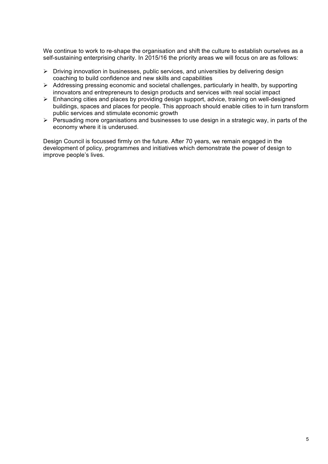We continue to work to re-shape the organisation and shift the culture to establish ourselves as a self-sustaining enterprising charity. In 2015/16 the priority areas we will focus on are as follows:

- $\triangleright$  Driving innovation in businesses, public services, and universities by delivering design coaching to build confidence and new skills and capabilities
- $\triangleright$  Addressing pressing economic and societal challenges, particularly in health, by supporting innovators and entrepreneurs to design products and services with real social impact
- $\triangleright$  Enhancing cities and places by providing design support, advice, training on well-designed buildings, spaces and places for people. This approach should enable cities to in turn transform public services and stimulate economic growth
- $\triangleright$  Persuading more organisations and businesses to use design in a strategic way, in parts of the economy where it is underused.

Design Council is focussed firmly on the future. After 70 years, we remain engaged in the development of policy, programmes and initiatives which demonstrate the power of design to improve people's lives.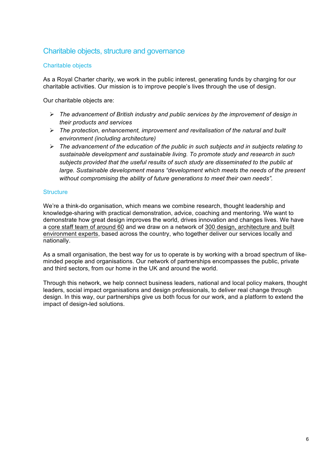# Charitable objects, structure and governance

### Charitable objects

As a Royal Charter charity, we work in the public interest, generating funds by charging for our charitable activities. Our mission is to improve people's lives through the use of design.

Our charitable objects are:

- ! *The advancement of British industry and public services by the improvement of design in their products and services*
- ! *The protection, enhancement, improvement and revitalisation of the natural and built environment (including architecture)*
- ! *The advancement of the education of the public in such subjects and in subjects relating to sustainable development and sustainable living. To promote study and research in such subjects provided that the useful results of such study are disseminated to the public at large. Sustainable development means "development which meets the needs of the present without compromising the ability of future generations to meet their own needs".*

### **Structure**

We're a think-do organisation, which means we combine research, thought leadership and knowledge-sharing with practical demonstration, advice, coaching and mentoring. We want to demonstrate how great design improves the world, drives innovation and changes lives. We have a [core staff team of around 60](http://www.designcouncil.org.uk/about-us/our-team) and we draw on a network of 300 design, architecture and built [environment experts, based across the country, who together deliver our services locally and](http://www.designcouncil.org.uk/about-us/our-experts)  nationally.

As a small organisation, the best way for us to operate is by working with a broad spectrum of likeminded people and organisations. Our network of partnerships encompasses the public, private and third sectors, from our home in the UK and around the world.

Through this network, we help connect business leaders, national and local policy makers, thought leaders, social impact organisations and design professionals, to deliver real change through design. In this way, our partnerships give us both focus for our work, and a platform to extend the impact of design-led solutions.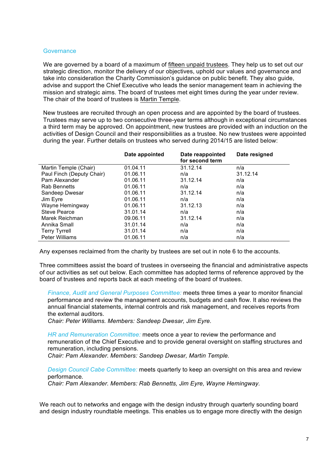#### **Governance**

We are governed by a board of a maximum of [fifteen unpaid trustees](http://www.designcouncil.org.uk/about-us/our-experts). They help us to set out our strategic direction, monitor the delivery of our objectives, uphold our values and governance and take into consideration the Charity Commission's guidance on public benefit. They also guide, advise and support the Chief Executive who leads the senior management team in achieving the mission and strategic aims. The board of trustees met eight times during the year under review. The chair of the board of trustees is [Martin Temple.](http://www.designcouncil.org.uk/about-us/our-experts/martin-temple-cbe)

New trustees are recruited through an open process and are appointed by the board of trustees. Trustees may serve up to two consecutive three-year terms although in exceptional circumstances a third term may be approved. On appointment, new trustees are provided with an induction on the activities of Design Council and their responsibilities as a trustee. No new trustees were appointed during the year. Further details on trustees who served during 2014/15 are listed below:

| Date appointed | Date reappointed<br>for second term | Date resigned |
|----------------|-------------------------------------|---------------|
| 01.04.11       | 31.12.14                            | n/a           |
| 01.06.11       | n/a                                 | 31.12.14      |
| 01.06.11       | 31.12.14                            | n/a           |
| 01.06.11       | n/a                                 | n/a           |
| 01.06.11       | 31.12.14                            | n/a           |
| 01.06.11       | n/a                                 | n/a           |
| 01.06.11       | 31.12.13                            | n/a           |
| 31.01.14       | n/a                                 | n/a           |
| 09.06.11       | 31.12.14                            | n/a           |
| 31.01.14       | n/a                                 | n/a           |
| 31.01.14       | n/a                                 | n/a           |
| 01.06.11       | n/a                                 | n/a           |
|                |                                     |               |

Any expenses reclaimed from the charity by trustees are set out in note 6 to the accounts.

Three committees assist the board of trustees in overseeing the financial and administrative aspects of our activities as set out below. Each committee has adopted terms of reference approved by the board of trustees and reports back at each meeting of the board of trustees.

*Finance, Audit and General Purposes Committee:* meets three times a year to monitor financial performance and review the management accounts, budgets and cash flow. It also reviews the annual financial statements, internal controls and risk management, and receives reports from the external auditors.

*Chair: Peter Williams. Members: Sandeep Dwesar, Jim Eyre.*

*HR and Remuneration Committee:* meets once a year to review the performance and remuneration of the Chief Executive and to provide general oversight on staffing structures and remuneration, including pensions.

*Chair: Pam Alexander. Members: Sandeep Dwesar, Martin Temple.*

*Design Council Cabe Committee:* meets quarterly to keep an oversight on this area and review performance*.* 

*Chair: Pam Alexander. Members: Rab Bennetts, Jim Eyre, Wayne Hemingway.*

We reach out to networks and engage with the design industry through quarterly sounding board and design industry roundtable meetings. This enables us to engage more directly with the design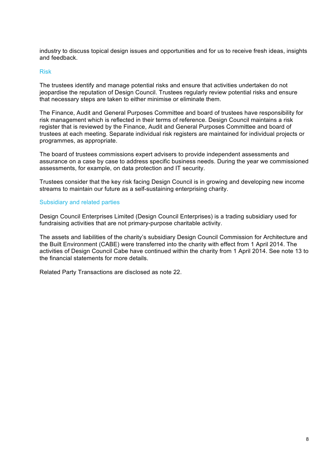industry to discuss topical design issues and opportunities and for us to receive fresh ideas, insights and feedback.

#### Risk

The trustees identify and manage potential risks and ensure that activities undertaken do not jeopardise the reputation of Design Council. Trustees regularly review potential risks and ensure that necessary steps are taken to either minimise or eliminate them.

The Finance, Audit and General Purposes Committee and board of trustees have responsibility for risk management which is reflected in their terms of reference. Design Council maintains a risk register that is reviewed by the Finance, Audit and General Purposes Committee and board of trustees at each meeting. Separate individual risk registers are maintained for individual projects or programmes, as appropriate.

The board of trustees commissions expert advisers to provide independent assessments and assurance on a case by case to address specific business needs. During the year we commissioned assessments, for example, on data protection and IT security.

Trustees consider that the key risk facing Design Council is in growing and developing new income streams to maintain our future as a self-sustaining enterprising charity.

### Subsidiary and related parties

Design Council Enterprises Limited (Design Council Enterprises) is a trading subsidiary used for fundraising activities that are not primary-purpose charitable activity.

The assets and liabilities of the charity's subsidiary Design Council Commission for Architecture and the Built Environment (CABE) were transferred into the charity with effect from 1 April 2014. The activities of Design Council Cabe have continued within the charity from 1 April 2014. See note 13 to the financial statements for more details.

Related Party Transactions are disclosed as note 22.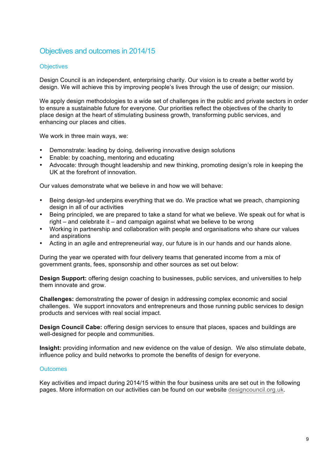# Objectives and outcomes in 2014/15

### **Objectives**

Design Council is an independent, enterprising charity. Our vision is to create a better world by design. We will achieve this by improving people's lives through the use of design; our mission.

We apply design methodologies to a wide set of challenges in the public and private sectors in order to ensure a sustainable future for everyone. Our priorities reflect the objectives of the charity to place design at the heart of stimulating business growth, transforming public services, and enhancing our places and cities.

We work in three main ways, we:

- Demonstrate: leading by doing, delivering innovative design solutions
- Enable: by coaching, mentoring and educating
- Advocate: through thought leadership and new thinking, promoting design's role in keeping the UK at the forefront of innovation.

Our values demonstrate what we believe in and how we will behave:

- Being design-led underpins everything that we do. We practice what we preach, championing design in all of our activities
- Being principled, we are prepared to take a stand for what we believe. We speak out for what is right – and celebrate it – and campaign against what we believe to be wrong
- Working in partnership and collaboration with people and organisations who share our values and aspirations
- Acting in an agile and entrepreneurial way, our future is in our hands and our hands alone.

During the year we operated with four delivery teams that generated income from a mix of government grants, fees, sponsorship and other sources as set out below:

**Design Support:** offering design coaching to businesses, public services, and universities to help them innovate and grow.

**Challenges:** demonstrating the power of design in addressing complex economic and social challenges. We support innovators and entrepreneurs and those running public services to design products and services with real social impact.

**Design Council Cabe:** offering design services to ensure that places, spaces and buildings are well-designed for people and communities.

**Insight:** providing information and new evidence on the value of design. We also stimulate debate, influence policy and build networks to promote the benefits of design for everyone.

### **Outcomes**

Key activities and impact during 2014/15 within the four business units are set out in the following pages. More information on our activities can be found on our website [designcouncil.org.uk](http://www.designcouncil.org.uk/).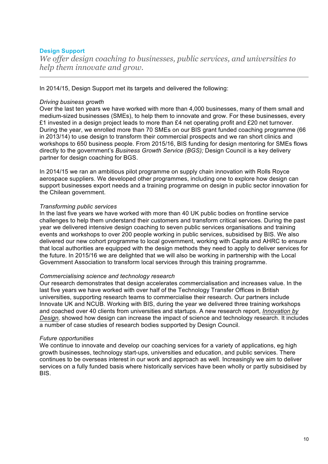### **Design Support**

*We offer design coaching to businesses, public services, and universities to help them innovate and grow.* 

In 2014/15, Design Support met its targets and delivered the following:

#### *Driving business growth*

Over the last ten years we have worked with more than 4,000 businesses, many of them small and medium-sized businesses (SMEs), to help them to innovate and grow. For these businesses, every £1 invested in a design project leads to more than £4 net operating profit and £20 net turnover. During the year, we enrolled more than 70 SMEs on our BIS grant funded coaching programme (66 in 2013/14) to use design to transform their commercial prospects and we ran short clinics and workshops to 650 business people. From 2015/16, BIS funding for design mentoring for SMEs flows directly to the government's *Business Growth Service (BGS);* Design Council is a key delivery partner for design coaching for BGS.

In 2014/15 we ran an ambitious pilot programme on supply chain innovation with Rolls Royce aerospace suppliers. We developed other programmes, including one to explore how design can support businesses export needs and a training programme on design in public sector innovation for the Chilean government.

#### *Transforming public services*

In the last five years we have worked with more than 40 UK public bodies on frontline service challenges to help them understand their customers and transform critical services. During the past year we delivered intensive design coaching to seven public services organisations and training events and workshops to over 200 people working in public services, subsidised by BIS. We also delivered our new cohort programme to local government, working with Capita and AHRC to ensure that local authorities are equipped with the design methods they need to apply to deliver services for the future. In 2015/16 we are delighted that we will also be working in partnership with the Local Government Association to transform local services through this training programme.

#### *Commercialising science and technology research*

Our research demonstrates that design accelerates commercialisation and increases value. In the last five years we have worked with over half of the Technology Transfer Offices in British universities, supporting research teams to commercialise their research. Our partners include Innovate UK and NCUB. Working with BIS, during the year we delivered three training workshops and coached over 40 clients from universities and startups. A new research report, *Innovation by Design,* [showed how design can increase the impact of science and technology research. It inclu](http://www.designcouncil.org.uk/resources/report/innovation-design)des a number of case studies of research bodies supported by Design Council.

#### *Future opportunities*

We continue to innovate and develop our coaching services for a variety of applications, eg high growth businesses, technology start-ups, universities and education, and public services. There continues to be overseas interest in our work and approach as well. Increasingly we aim to deliver services on a fully funded basis where historically services have been wholly or partly subsidised by BIS.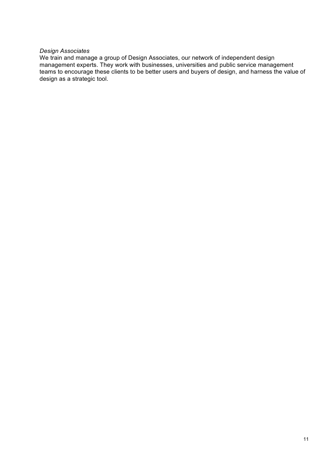### *Design Associates*

We train and manage a group of Design Associates, our network of independent design management experts. They work with businesses, universities and public service management teams to encourage these clients to be better users and buyers of design, and harness the value of design as a strategic tool.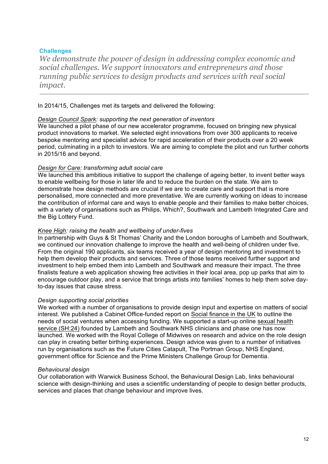### **Challenges**

*We demonstrate the power of design in addressing complex economic and social challenges. We support innovators and entrepreneurs and those running public services to design products and services with real social impact.*

In 2014/15, Challenges met its targets and delivered the following:

### *[Design Council Spark:](http://www.designcouncil.org.uk/projects/spark-innovation-fund) supporting the next generation of inventors*

We launched a pilot phase of our new accelerator programme, focused on bringing new physical product innovations to market. We selected eight innovations from over 300 applicants to receive bespoke mentoring and specialist advice for rapid acceleration of their products over a 20 week period, culminating in a pitch to investors. We are aiming to complete the pilot and run further cohorts in 2015/16 and beyond.

### *[Design for Care:](http://www.designcouncil.org.uk/projects/design-care) transforming adult social care*

We launched this ambitious initiative to support the challenge of ageing better, to invent better ways to enable wellbeing for those in later life and to reduce the burden on the state. We aim to demonstrate how design methods are crucial if we are to create care and support that is more personalised, more connected and more preventative. We are currently working on ideas to increase the contribution of informal care and ways to enable people and their families to make better choices, with a variety of organisations such as Philips, Which?, Southwark and Lambeth Integrated Care and the Big Lottery Fund.

### *[Knee High:](http://www.designcouncil.org.uk/projects/knee-high-design-challenge) raising the health and wellbeing of under-fives*

In partnership with Guys & St Thomas' Charity and the London boroughs of Lambeth and Southwark, we continued our innovation challenge to improve the health and well-being of children under five. From the original 190 applicants, six teams received a year of design mentoring and investment to help them develop their products and services. Three of those teams received further support and investment to help embed them into Lambeth and Southwark and measure their impact. The three finalists feature a web application showing free activities in their local area, pop up parks that aim to encourage outdoor play, and a service that brings artists into families' homes to help them solve dayto-day issues that cause stress.

### *Design supporting social priorities*

We worked with a number of organisations to provide design input and expertise on matters of social interest. We published a Cabinet Office-funded report on [Social finance in the UK](http://www.designcouncil.org.uk/resources/report/social-finance-uk-designing-experience-ventures) to outline the needs of social ventures when accessing funding. We supported a start-up online sexual health service (SH:24) [founded by Lambeth and Southwark NHS clinicians and phase one has now](http://www.designcouncil.org.uk/news-opinion/sh24-sexual-health-service-launches-today)  launched. We worked with the Royal College of Midwives on research and advice on the role design can play in creating better birthing experiences. Design advice was given to a number of initiatives run by organisations such as the Future Cities Catapult, The Portman Group, NHS England, government office for Science and the Prime Ministers Challenge Group for Dementia.

#### *Behavioural design*

Our collaboration with Warwick Business School, the Behavioural Design Lab, links behavioural science with design-thinking and uses a scientific understanding of people to design better products, services and places that change behaviour and improve lives.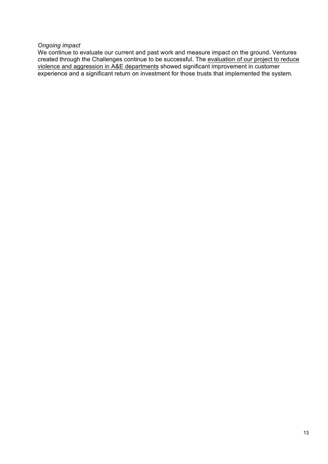### *Ongoing impact*

We continue to evaluate our current and past work and measure impact on the ground. Ventures [created through the Challenges continue to be successful. The evaluation of our project to reduce](http://www.designcouncil.org.uk/resources/report/ae-design-challenge-impact-evaluation) violence and aggression in A&E departments showed significant improvement in customer experience and a significant return on investment for those trusts that implemented the system.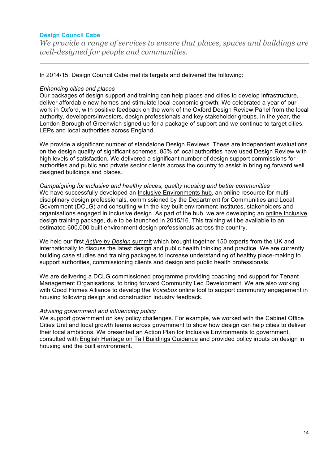### **Design Council Cabe**

*We provide a range of services to ensure that places, spaces and buildings are well-designed for people and communities.* 

In 2014/15, Design Council Cabe met its targets and delivered the following:

### *Enhancing cities and places*

Our packages of design support and training can help places and cities to develop infrastructure, deliver affordable new homes and stimulate local economic growth. We celebrated a year of our work in Oxford, with positive feedback on the work of the Oxford Design Review Panel from the local authority, developers/investors, design professionals and key stakeholder groups. In the year, the London Borough of Greenwich signed up for a package of support and we continue to target cities, LEPs and local authorities across England.

We provide a significant number of standalone Design Reviews. These are independent evaluations on the design quality of significant schemes. 85% of local authorities have used Design Review with high levels of satisfaction. We delivered a significant number of design support commissions for authorities and public and private sector clients across the country to assist in bringing forward well designed buildings and places.

*Campaigning for inclusive and healthy places, quality housing and better communities*  We have successfully developed an [Inclusive Environments hub,](http://www.designcouncil.org.uk/projects/inclusive-environments) an online resource for multi disciplinary design professionals, commissioned by the Department for Communities and Local Government (DCLG) and consulting with the key built environment institutes, stakeholders and organisations engaged in inclusive design. As part of the hub, we are developing an online Inclusive [design training package, due to be launched in 2015/16. This training will be available to an](http://www.designcouncil.org.uk/news-opinion/call-partners-inclusive-environments-training) estimated 600,000 built environment design professionals across the country.

We held our first *[Active by Design](http://www.designcouncil.org.uk/news-opinion/speakers-announced-our-active-design-summit)* summit which brought together 150 experts from the UK and internationally to discuss the latest design and public health thinking and practice. We are currently building case studies and training packages to increase understanding of healthy place-making to support authorities, commissioning clients and design and public health professionals.

We are delivering a DCLG commissioned programme providing coaching and support for Tenant Management Organisations, to bring forward Community Led Development. We are also working with Good Homes Alliance to develop the *Voicebox* online tool to support community engagement in housing following design and construction industry feedback.

### *Advising government and influencing policy*

We support government on key policy challenges. For example, we worked with the Cabinet Office Cities Unit and local growth teams across government to show how design can help cities to deliver their local ambitions. We presented an [Action Plan for Inclusive Environments](http://www.designcouncil.org.uk/news-opinion/call-partners-inclusive-environments-training) to government, consulted with [English Heritage on Tall Buildings Guidance](http://www.designcouncil.org.uk/news-opinion/tall-buildings-guidance-under-review) and provided policy inputs on design in housing and the built environment.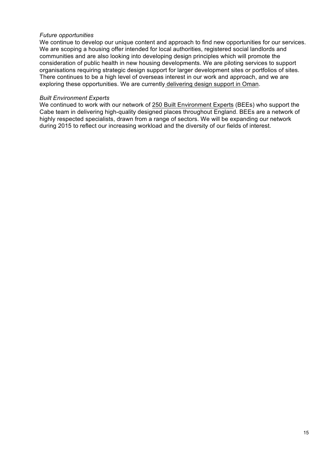### *Future opportunities*

We continue to develop our unique content and approach to find new opportunities for our services. We are scoping a housing offer intended for local authorities, registered social landlords and communities and are also looking into developing design principles which will promote the consideration of public health in new housing developments. We are piloting services to support organisations requiring strategic design support for larger development sites or portfolios of sites. There continues to be a high level of overseas interest in our work and approach, and we are exploring these opportunities. We are currently [delivering design support in Oman](http://www.designcouncil.org.uk/news-opinion/cabe-announce-new-design-review-masterplan-oman).

### *Built Environment Experts*

We continued to work with our network of [250 Built Environment Experts](http://www.designcouncil.org.uk/resources/guide/guide-our-built-environment-experts-bees) (BEEs) who support the Cabe team in delivering high-quality designed places throughout England. BEEs are a network of highly respected specialists, drawn from a range of sectors. We will be expanding our network during 2015 to reflect our increasing workload and the diversity of our fields of interest.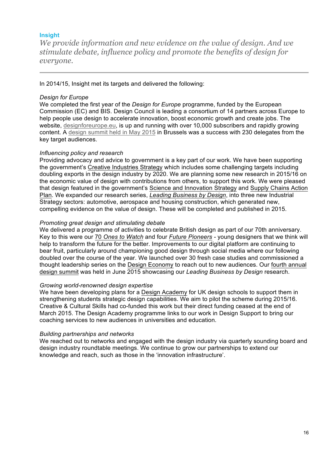### **Insight**

*We provide information and new evidence on the value of design. And we stimulate debate, influence policy and promote the benefits of design for everyone.*

In 2014/15, Insight met its targets and delivered the following:

### *Design for Europe*

We completed the first year of the *Design for Europe* programme, funded by the European Commission (EC) and BIS. Design Council is leading a consortium of 14 partners across Europe to help people use design to accelerate innovation, boost economic growth and create jobs. The website, [designforeurope.eu](http://www.designcouncil.org.uk/resources/guide/guide-our-built-environment-experts-bees), is up and running with over 10,000 subscribers and rapidly growing content. A [design summit held in May 2015](http://designforeurope.eu/news-opinion/highlights-design-europe-summit-european-growth-design) in Brussels was a success with 230 delegates from the key target audiences.

### *Influencing policy and research*

Providing advocacy and advice to government is a key part of our work. We have been supporting the government's [Creative Industries Strategy](http://www.thecreativeindustries.co.uk/resources/starcreate-uk-strategy) which includes some challenging targets including doubling exports in the design industry by 2020. We are planning some new research in 2015/16 on the economic value of design with contributions from others, to support this work. We were pleased [that design featured in the government's Science and](https://www.gov.uk/government/publications/manufacturing-supply-chains-action-plan) [Innovation Strategy](http://www.designcouncil.org.uk/news-opinion/science-and-innovation-strategy-embraces-design-key-growth) and Supply Chains Action Plan. We expanded our research series, *[Leading Business by Design](http://www.designcouncil.org.uk/resources/report/leading-business-design-high-value-manufacturing)*, into three new Industrial Strategy sectors: automotive, aerospace and housing construction, which generated new, compelling evidence on the value of design. These will be completed and published in 2015.

### *Promoting great design and stimulating debate*

We delivered a programme of activities to celebrate British design as part of our 70th anniversary. Key to this were our 70 *[Ones to Watch](http://www.designcouncil.org.uk/projects/ones-watch)* and four *[Future Pioneers](http://www.designcouncil.org.uk/news-opinion/meet-future-pioneers-2014) -* young designers that we think will help to transform the future for the better. Improvements to our digital platform are continuing to bear fruit, particularly around championing good design through social media where our following doubled over the course of the year. We launched over 30 fresh case studies and commissioned a [thought leadership series on the](http://www.designcouncil.org.uk/news-opinion/highlights-our-leading-business-design-summit-2015) [Design Econom](http://www.designcouncil.org.uk/news-opinion/design-economy-series-how-design-transforming-way-we-live-work-and-play-forever)[y](http://www.designcouncil.org.uk/news-opinion/highlights-our-leading-business-design-summit-2015) to reach out to new audiences. Our fourth annual design summit was held in June 2015 showcasing our *Leading Business by Design* research.

### *Growing world-renowned design expertise*

We have been developing plans for a [Design Academy](http://www.designcouncil.org.uk/projects/design-academy) for UK design schools to support them in strengthening students strategic design capabilities. We aim to pilot the scheme during 2015/16. Creative & Cultural Skills had co-funded this work but their direct funding ceased at the end of March 2015. The Design Academy programme links to our work in Design Support to bring our coaching services to new audiences in universities and education.

### *Building partnerships and networks*

We reached out to networks and engaged with the design industry via quarterly sounding board and design industry roundtable meetings. We continue to grow our partnerships to extend our knowledge and reach, such as those in the 'innovation infrastructure'.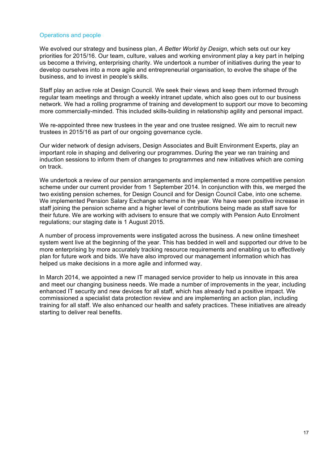### Operations and people

We evolved our strategy and business plan, *A Better World by Design*, which sets out our key priorities for 2015/16. Our team, culture, values and working environment play a key part in helping us become a thriving, enterprising charity. We undertook a number of initiatives during the year to develop ourselves into a more agile and entrepreneurial organisation, to evolve the shape of the business, and to invest in people's skills.

Staff play an active role at Design Council. We seek their views and keep them informed through regular team meetings and through a weekly intranet update, which also goes out to our business network. We had a rolling programme of training and development to support our move to becoming more commercially-minded. This included skills-building in relationship agility and personal impact.

We re-appointed three new trustees in the year and one trustee resigned. We aim to recruit new trustees in 2015/16 as part of our ongoing governance cycle.

Our wider network of design advisers, Design Associates and Built Environment Experts, play an important role in shaping and delivering our programmes. During the year we ran training and induction sessions to inform them of changes to programmes and new initiatives which are coming on track.

We undertook a review of our pension arrangements and implemented a more competitive pension scheme under our current provider from 1 September 2014. In conjunction with this, we merged the two existing pension schemes, for Design Council and for Design Council Cabe, into one scheme. We implemented Pension Salary Exchange scheme in the year. We have seen positive increase in staff joining the pension scheme and a higher level of contributions being made as staff save for their future. We are working with advisers to ensure that we comply with Pension Auto Enrolment regulations; our staging date is 1 August 2015.

A number of process improvements were instigated across the business. A new online timesheet system went live at the beginning of the year. This has bedded in well and supported our drive to be more enterprising by more accurately tracking resource requirements and enabling us to effectively plan for future work and bids. We have also improved our management information which has helped us make decisions in a more agile and informed way.

In March 2014, we appointed a new IT managed service provider to help us innovate in this area and meet our changing business needs. We made a number of improvements in the year, including enhanced IT security and new devices for all staff, which has already had a positive impact. We commissioned a specialist data protection review and are implementing an action plan, including training for all staff. We also enhanced our health and safety practices. These initiatives are already starting to deliver real benefits.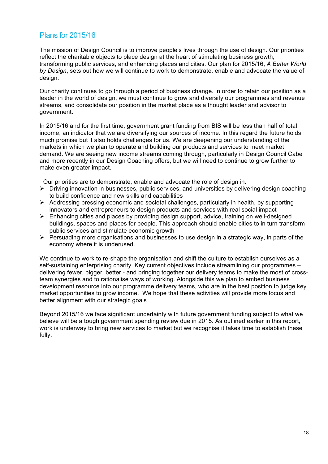# Plans for 2015/16

The mission of Design Council is to improve people's lives through the use of design. Our priorities reflect the charitable objects to place design at the heart of stimulating business growth, transforming public services, and enhancing places and cities. Our plan for 2015/16, *A Better World by Design*, sets out how we will continue to work to demonstrate, enable and advocate the value of design.

Our charity continues to go through a period of business change. In order to retain our position as a leader in the world of design, we must continue to grow and diversify our programmes and revenue streams, and consolidate our position in the market place as a thought leader and advisor to government.

In 2015/16 and for the first time, government grant funding from BIS will be less than half of total income, an indicator that we are diversifying our sources of income. In this regard the future holds much promise but it also holds challenges for us. We are deepening our understanding of the markets in which we plan to operate and building our products and services to meet market demand. We are seeing new income streams coming through, particularly in Design Council Cabe and more recently in our Design Coaching offers, but we will need to continue to grow further to make even greater impact.

Our priorities are to demonstrate, enable and advocate the role of design in:

- $\triangleright$  Driving innovation in businesses, public services, and universities by delivering design coaching to build confidence and new skills and capabilities
- $\triangleright$  Addressing pressing economic and societal challenges, particularly in health, by supporting innovators and entrepreneurs to design products and services with real social impact
- $\triangleright$  Enhancing cities and places by providing design support, advice, training on well-designed buildings, spaces and places for people. This approach should enable cities to in turn transform public services and stimulate economic growth
- $\triangleright$  Persuading more organisations and businesses to use design in a strategic way, in parts of the economy where it is underused.

We continue to work to re-shape the organisation and shift the culture to establish ourselves as a self-sustaining enterprising charity. Key current objectives include streamlining our programmes – delivering fewer, bigger, better - and bringing together our delivery teams to make the most of crossteam synergies and to rationalise ways of working. Alongside this we plan to embed business development resource into our programme delivery teams, who are in the best position to judge key market opportunities to grow income. We hope that these activities will provide more focus and better alignment with our strategic goals

Beyond 2015/16 we face significant uncertainty with future government funding subject to what we believe will be a tough government spending review due in 2015. As outlined earlier in this report, work is underway to bring new services to market but we recognise it takes time to establish these fully.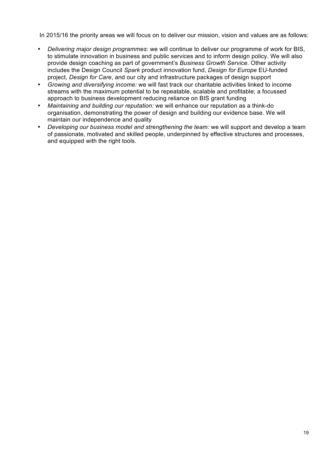In 2015/16 the priority areas we will focus on to deliver our mission, vision and values are as follows:

- *Delivering major design programmes*: we will continue to deliver our programme of work for BIS, to stimulate innovation in business and public services and to inform design policy. We will also provide design coaching as part of government's *Business Growth Service.* Other activity includes the Design Council *Spark* product innovation fund, *Design for Europe* EU-funded project, *Design for Care*, and our city and infrastructure packages of design support
- *Growing and diversifying income:* we will fast track our charitable activities linked to income streams with the maximum potential to be repeatable, scalable and profitable; a focussed approach to business development reducing reliance on BIS grant funding
- *Maintaining and building our reputation:* we will enhance our reputation as a think-do organisation, demonstrating the power of design and building our evidence base. We will maintain our independence and quality
- *Developing our business model and strengthening the team:* we will support and develop a team of passionate, motivated and skilled people, underpinned by effective structures and processes, and equipped with the right tools.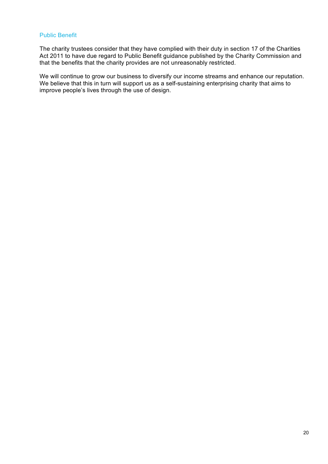### Public Benefit

The charity trustees consider that they have complied with their duty in section 17 of the Charities Act 2011 to have due regard to Public Benefit guidance published by the Charity Commission and that the benefits that the charity provides are not unreasonably restricted.

We will continue to grow our business to diversify our income streams and enhance our reputation. We believe that this in turn will support us as a self-sustaining enterprising charity that aims to improve people's lives through the use of design.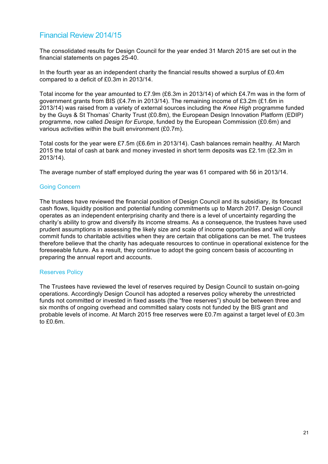# Financial Review 2014/15

The consolidated results for Design Council for the year ended 31 March 2015 are set out in the financial statements on pages 25-40.

In the fourth year as an independent charity the financial results showed a surplus of £0.4m compared to a deficit of £0.3m in 2013/14.

Total income for the year amounted to £7.9m (£6.3m in 2013/14) of which £4.7m was in the form of government grants from BIS (£4.7m in 2013/14). The remaining income of £3.2m (£1.6m in 2013/14) was raised from a variety of external sources including the *Knee High* programme funded by the Guys & St Thomas' Charity Trust (£0.8m), the European Design Innovation Platform (EDIP) programme, now called *Design for Europe*, funded by the European Commission (£0.6m) and various activities within the built environment (£0.7m).

Total costs for the year were £7.5m (£6.6m in 2013/14). Cash balances remain healthy. At March 2015 the total of cash at bank and money invested in short term deposits was £2.1m (£2.3m in 2013/14).

The average number of staff employed during the year was 61 compared with 56 in 2013/14.

### Going Concern

The trustees have reviewed the financial position of Design Council and its subsidiary, its forecast cash flows, liquidity position and potential funding commitments up to March 2017. Design Council operates as an independent enterprising charity and there is a level of uncertainty regarding the charity's ability to grow and diversify its income streams. As a consequence, the trustees have used prudent assumptions in assessing the likely size and scale of income opportunities and will only commit funds to charitable activities when they are certain that obligations can be met. The trustees therefore believe that the charity has adequate resources to continue in operational existence for the foreseeable future. As a result, they continue to adopt the going concern basis of accounting in preparing the annual report and accounts.

#### Reserves Policy

The Trustees have reviewed the level of reserves required by Design Council to sustain on-going operations. Accordingly Design Council has adopted a reserves policy whereby the unrestricted funds not committed or invested in fixed assets (the "free reserves") should be between three and six months of ongoing overhead and committed salary costs not funded by the BIS grant and probable levels of income. At March 2015 free reserves were £0.7m against a target level of £0.3m to £0.6m.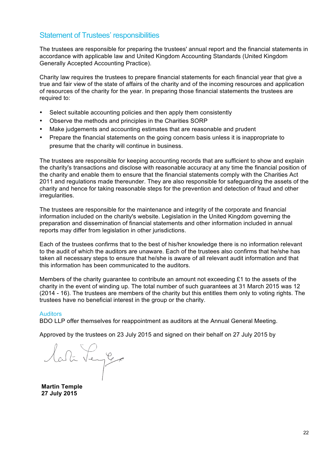## Statement of Trustees' responsibilities

The trustees are responsible for preparing the trustees' annual report and the financial statements in accordance with applicable law and United Kingdom Accounting Standards (United Kingdom Generally Accepted Accounting Practice).

Charity law requires the trustees to prepare financial statements for each financial year that give a true and fair view of the state of affairs of the charity and of the incoming resources and application of resources of the charity for the year. In preparing those financial statements the trustees are required to:

- Select suitable accounting policies and then apply them consistently
- Observe the methods and principles in the Charities SORP
- Make judgements and accounting estimates that are reasonable and prudent
- Prepare the financial statements on the going concern basis unless it is inappropriate to presume that the charity will continue in business.

The trustees are responsible for keeping accounting records that are sufficient to show and explain the charity's transactions and disclose with reasonable accuracy at any time the financial position of the charity and enable them to ensure that the financial statements comply with the Charities Act 2011 and regulations made thereunder. They are also responsible for safeguarding the assets of the charity and hence for taking reasonable steps for the prevention and detection of fraud and other irregularities.

The trustees are responsible for the maintenance and integrity of the corporate and financial information included on the charity's website. Legislation in the United Kingdom governing the preparation and dissemination of financial statements and other information included in annual reports may differ from legislation in other jurisdictions.

Each of the trustees confirms that to the best of his/her knowledge there is no information relevant to the audit of which the auditors are unaware. Each of the trustees also confirms that he/she has taken all necessary steps to ensure that he/she is aware of all relevant audit information and that this information has been communicated to the auditors.

Members of the charity guarantee to contribute an amount not exceeding £1 to the assets of the charity in the event of winding up. The total number of such guarantees at 31 March 2015 was 12 (2014 - 16). The trustees are members of the charity but this entitles them only to voting rights. The trustees have no beneficial interest in the group or the charity.

#### **Auditors**

BDO LLP offer themselves for reappointment as auditors at the Annual General Meeting.

Approved by the trustees on 23 July 2015 and signed on their behalf on 27 July 2015 by

lati Legge

**Martin Temple 27 July 2015**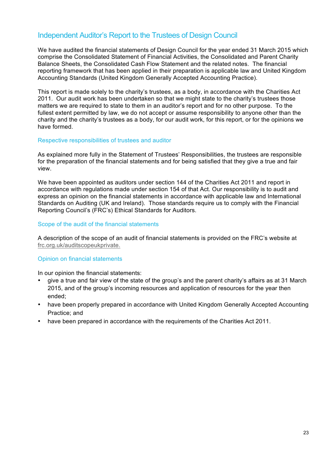# Independent Auditor's Report to the Trustees of Design Council

We have audited the financial statements of Design Council for the year ended 31 March 2015 which comprise the Consolidated Statement of Financial Activities, the Consolidated and Parent Charity Balance Sheets, the Consolidated Cash Flow Statement and the related notes. The financial reporting framework that has been applied in their preparation is applicable law and United Kingdom Accounting Standards (United Kingdom Generally Accepted Accounting Practice).

This report is made solely to the charity's trustees, as a body, in accordance with the Charities Act 2011. Our audit work has been undertaken so that we might state to the charity's trustees those matters we are required to state to them in an auditor's report and for no other purpose. To the fullest extent permitted by law, we do not accept or assume responsibility to anyone other than the charity and the charity's trustees as a body, for our audit work, for this report, or for the opinions we have formed.

### Respective responsibilities of trustees and auditor

As explained more fully in the Statement of Trustees' Responsibilities, the trustees are responsible for the preparation of the financial statements and for being satisfied that they give a true and fair view.

We have been appointed as auditors under section 144 of the Charities Act 2011 and report in accordance with regulations made under section 154 of that Act. Our responsibility is to audit and express an opinion on the financial statements in accordance with applicable law and International Standards on Auditing (UK and Ireland). Those standards require us to comply with the Financial Reporting Council's (FRC's) Ethical Standards for Auditors.

### Scope of the audit of the financial statements

A description of the scope of an audit of financial statements is provided on the FRC's website at [frc.org.uk/auditscopeukprivate.](https://www.frc.org.uk/auditscopeukprivate)

### Opinion on financial statements

In our opinion the financial statements:

- give a true and fair view of the state of the group's and the parent charity's affairs as at 31 March 2015, and of the group's incoming resources and application of resources for the year then ended;
- have been properly prepared in accordance with United Kingdom Generally Accepted Accounting Practice; and
- have been prepared in accordance with the requirements of the Charities Act 2011.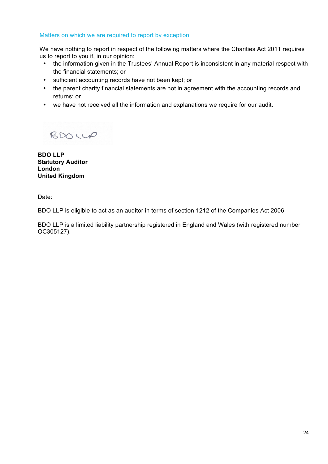### Matters on which we are required to report by exception

We have nothing to report in respect of the following matters where the Charities Act 2011 requires us to report to you if, in our opinion:

- the information given in the Trustees' Annual Report is inconsistent in any material respect with the financial statements; or
- sufficient accounting records have not been kept; or
- the parent charity financial statements are not in agreement with the accounting records and returns; or
- we have not received all the information and explanations we require for our audit.

 $BDOUP$ 

**BDO LLP Statutory Auditor London United Kingdom**

Date:

BDO LLP is eligible to act as an auditor in terms of section 1212 of the Companies Act 2006.

BDO LLP is a limited liability partnership registered in England and Wales (with registered number OC305127).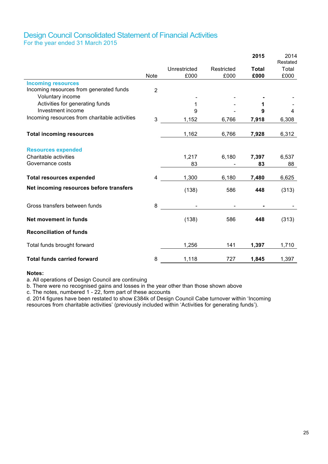### Design Council Consolidated Statement of Financial Activities For the year ended 31 March 2015

|                                                    |                |              |            | 2015         | 2014<br>Restated |
|----------------------------------------------------|----------------|--------------|------------|--------------|------------------|
|                                                    |                | Unrestricted | Restricted | <b>Total</b> | Total            |
|                                                    | <b>Note</b>    | £000         | £000       | £000         | £000             |
| <b>Incoming resources</b>                          |                |              |            |              |                  |
| Incoming resources from generated funds            | $\overline{2}$ |              |            |              |                  |
| Voluntary income                                   |                |              |            |              |                  |
| Activities for generating funds                    |                | 1            |            | 1            |                  |
| Investment income                                  |                | 9            |            | 9            | 4                |
| Incoming resources from charitable activities      | 3              | 1,152        | 6,766      | 7,918        | 6,308            |
| <b>Total incoming resources</b>                    |                | 1,162        | 6,766      | 7,928        | 6,312            |
|                                                    |                |              |            |              |                  |
| <b>Resources expended</b><br>Charitable activities |                | 1,217        | 6,180      | 7,397        | 6,537            |
| Governance costs                                   |                | 83           |            | 83           | 88               |
|                                                    |                |              |            |              |                  |
| <b>Total resources expended</b>                    | 4              | 1,300        | 6,180      | 7,480        | 6,625            |
| Net incoming resources before transfers            |                | (138)        | 586        | 448          | (313)            |
| Gross transfers between funds                      | 8              |              |            |              |                  |
| Net movement in funds                              |                | (138)        | 586        | 448          | (313)            |
| <b>Reconciliation of funds</b>                     |                |              |            |              |                  |
| Total funds brought forward                        |                | 1,256        | 141        | 1,397        | 1,710            |
| <b>Total funds carried forward</b>                 | 8              | 1,118        | 727        | 1,845        | 1,397            |

#### **Notes:**

a. All operations of Design Council are continuing

b. There were no recognised gains and losses in the year other than those shown above

c. The notes, numbered 1 - 22, form part of these accounts

d. 2014 figures have been restated to show £384k of Design Council Cabe turnover within 'Incoming

resources from charitable activities' (previously included within 'Activities for generating funds').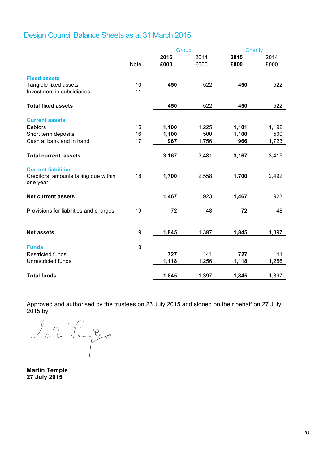# Design Council Balance Sheets as at 31 March 2015

|                                                                                 |             | Group |       | <b>Charity</b> |       |
|---------------------------------------------------------------------------------|-------------|-------|-------|----------------|-------|
|                                                                                 |             | 2015  | 2014  | 2015           | 2014  |
|                                                                                 | <b>Note</b> | £000  | £000  | £000           | £000  |
| <b>Fixed assets</b>                                                             |             |       |       |                |       |
| Tangible fixed assets                                                           | 10          | 450   | 522   | 450            | 522   |
| Investment in subsidiaries                                                      | 11          |       |       |                |       |
| <b>Total fixed assets</b>                                                       |             | 450   | 522   | 450            | 522   |
| <b>Current assets</b>                                                           |             |       |       |                |       |
| <b>Debtors</b>                                                                  | 15          | 1,100 | 1,225 | 1,101          | 1,192 |
| Short term deposits                                                             | 16          | 1,100 | 500   | 1,100          | 500   |
| Cash at bank and in hand                                                        | 17          | 967   | 1,756 | 966            | 1,723 |
| <b>Total current assets</b>                                                     |             | 3,167 | 3,481 | 3,167          | 3,415 |
| <b>Current liabilities</b><br>Creditors: amounts falling due within<br>one year | 18          | 1,700 | 2,558 | 1,700          | 2,492 |
| <b>Net current assets</b>                                                       |             | 1,467 | 923   | 1,467          | 923   |
| Provisions for liabilities and charges                                          | 19          | 72    | 48    | 72             | 48    |
| <b>Net assets</b>                                                               | 9           | 1,845 | 1,397 | 1,845          | 1,397 |
| <b>Funds</b>                                                                    | 8           |       |       |                |       |
| <b>Restricted funds</b>                                                         |             | 727   | 141   | 727            | 141   |
| <b>Unrestricted funds</b>                                                       |             |       |       |                |       |
|                                                                                 |             | 1,118 | 1,256 | 1,118          | 1,256 |
| <b>Total funds</b>                                                              |             | 1,845 | 1,397 | 1,845          | 1,397 |

Approved and authorised by the trustees on 23 July 2015 and signed on their behalf on 27 July 2015 by

lati Legge

**Martin Temple 27 July 2015**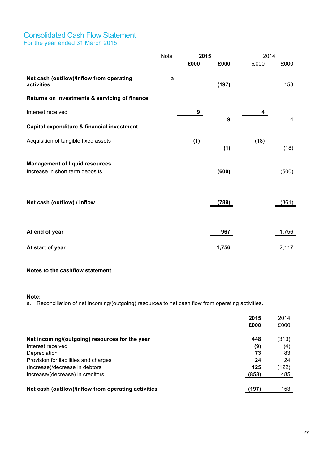### Consolidated Cash Flow Statement For the year ended 31 March 2015

|                                                        | <b>Note</b><br>2015 |      | 2014  |      |       |
|--------------------------------------------------------|---------------------|------|-------|------|-------|
|                                                        |                     | £000 | £000  | £000 | £000  |
| Net cash (outflow)/inflow from operating<br>activities | a                   |      | (197) |      | 153   |
| Returns on investments & servicing of finance          |                     |      |       |      |       |
| Interest received                                      |                     | 9    |       | 4    |       |
| Capital expenditure & financial investment             |                     |      | 9     |      | 4     |
| Acquisition of tangible fixed assets                   |                     | (1)  | (1)   | (18) | (18)  |
| <b>Management of liquid resources</b>                  |                     |      |       |      |       |
| Increase in short term deposits                        |                     |      | (600) |      | (500) |
|                                                        |                     |      |       |      |       |
| Net cash (outflow) / inflow                            |                     |      | (789) |      | (361) |
|                                                        |                     |      |       |      |       |
| At end of year                                         |                     |      | 967   |      | 1,756 |
| At start of year                                       |                     |      | 1,756 |      | 2,117 |

### **Notes to the cashflow statement**

#### **Note:**

a. Reconciliation of net incoming/(outgoing) resources to net cash flow from operating activities**.**

|                                                     | 2015  | 2014  |
|-----------------------------------------------------|-------|-------|
|                                                     | £000  | £000  |
| Net incoming/(outgoing) resources for the year      | 448   | (313) |
| Interest received                                   | (9)   | (4)   |
| Depreciation                                        | 73    | 83    |
| Provision for liabilities and charges               | 24    | 24    |
| (Increase)/decrease in debtors                      | 125   | (122) |
| Increase/(decrease) in creditors                    | (858) | 485   |
|                                                     |       |       |
| Net cash (outflow)/inflow from operating activities | (197  | 153   |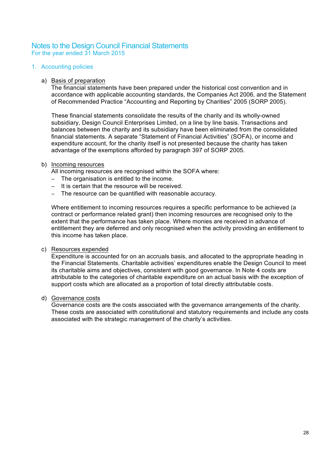### Notes to the Design Council Financial Statements For the year ended 31 March 2015

#### 1. Accounting policies

#### a) Basis of preparation

The financial statements have been prepared under the historical cost convention and in accordance with applicable accounting standards, the Companies Act 2006, and the Statement of Recommended Practice "Accounting and Reporting by Charities" 2005 (SORP 2005).

These financial statements consolidate the results of the charity and its wholly-owned subsidiary, Design Council Enterprises Limited, on a line by line basis. Transactions and balances between the charity and its subsidiary have been eliminated from the consolidated financial statements. A separate "Statement of Financial Activities" (SOFA), or income and expenditure account, for the charity itself is not presented because the charity has taken advantage of the exemptions afforded by paragraph 397 of SORP 2005.

### b) Incoming resources

All incoming resources are recognised within the SOFA where:

- The organisation is entitled to the income.
- − It is certain that the resource will be received.
- − The resource can be quantified with reasonable accuracy.

Where entitlement to incoming resources requires a specific performance to be achieved (a contract or performance related grant) then incoming resources are recognised only to the extent that the performance has taken place. Where monies are received in advance of entitlement they are deferred and only recognised when the activity providing an entitlement to this income has taken place.

#### c) Resources expended

Expenditure is accounted for on an accruals basis, and allocated to the appropriate heading in the Financial Statements. Charitable activities' expenditures enable the Design Council to meet its charitable aims and objectives, consistent with good governance. In Note 4 costs are attributable to the categories of charitable expenditure on an actual basis with the exception of support costs which are allocated as a proportion of total directly attributable costs.

### d) Governance costs

Governance costs are the costs associated with the governance arrangements of the charity. These costs are associated with constitutional and statutory requirements and include any costs associated with the strategic management of the charity's activities.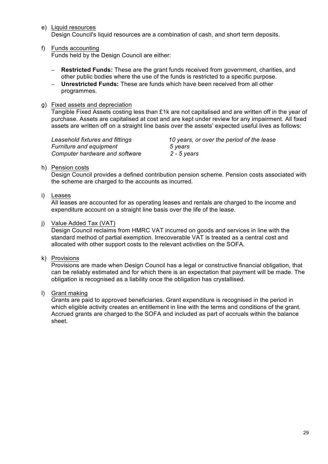e) Liquid resources

Design Council's liquid resources are a combination of cash, and short term deposits.

f) Funds accounting

Funds held by the Design Council are either:

- − **Restricted Funds:** These are the grant funds received from government, charities, and other public bodies where the use of the funds is restricted to a specific purpose.
- − **Unrestricted Funds:** These are funds which have been received from all other programmes.
- g) Fixed assets and depreciation

Tangible Fixed Assets costing less than £1k are not capitalised and are written off in the year of purchase. Assets are capitalised at cost and are kept under review for any impairment. All fixed assets are written off on a straight line basis over the assets' expected useful lives as follows:

*Furniture and equipment 5 years Computer hardware and software 2 - 5 years*

*Leasehold fixtures and fittings 10 years, or over the period of the lease* 

### h) Pension costs

Design Council provides a defined contribution pension scheme. Pension costs associated with the scheme are charged to the accounts as incurred.

### i) Leases

All leases are accounted for as operating leases and rentals are charged to the income and expenditure account on a straight line basis over the life of the lease.

### j) Value Added Tax (VAT)

Design Council reclaims from HMRC VAT incurred on goods and services in line with the standard method of partial exemption. Irrecoverable VAT is treated as a central cost and allocated with other support costs to the relevant activities on the SOFA.

### k) Provisions

Provisions are made when Design Council has a legal or constructive financial obligation, that can be reliably estimated and for which there is an expectation that payment will be made. The obligation is recognised as a liability once the obligation has crystallised.

### l) Grant making

Grants are paid to approved beneficiaries. Grant expenditure is recognised in the period in which eligible activity creates an entitlement in line with the terms and conditions of the grant. Accrued grants are charged to the SOFA and included as part of accruals within the balance sheet.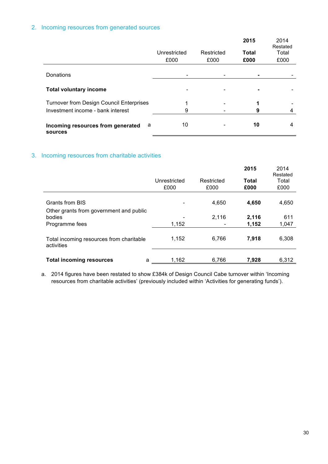### 2. Incoming resources from generated sources

|                                                   |              |            | 2015           | 2014<br>Restated |
|---------------------------------------------------|--------------|------------|----------------|------------------|
|                                                   | Unrestricted | Restricted | Total          | Total            |
|                                                   | £000         | £000       | £000           | £000             |
| Donations                                         |              |            |                |                  |
| <b>Total voluntary income</b>                     |              |            | $\blacksquare$ |                  |
| <b>Turnover from Design Council Enterprises</b>   | 4            |            | 1              |                  |
| Investment income - bank interest                 | 9            |            | 9              |                  |
| Incoming resources from generated<br>a<br>sources | 10           |            | 10             | 4                |

### 3. Incoming resources from charitable activities

|                                                        |                      |                    | 2015          | 2014<br>Restated |
|--------------------------------------------------------|----------------------|--------------------|---------------|------------------|
|                                                        | Unrestricted<br>£000 | Restricted<br>£000 | Total<br>£000 | Total<br>£000    |
| Grants from BIS                                        |                      | 4,650              | 4,650         | 4,650            |
| Other grants from government and public<br>bodies      |                      | 2,116              | 2,116         | 611              |
| Programme fees                                         | 1,152                |                    | 1,152         | 1,047            |
| Total incoming resources from charitable<br>activities | 1,152                | 6,766              | 7,918         | 6,308            |
| <b>Total incoming resources</b><br>а                   | 1,162                | 6,766              | 7,928         | 6,312            |

a. 2014 figures have been restated to show £384k of Design Council Cabe turnover within 'Incoming resources from charitable activities' (previously included within 'Activities for generating funds').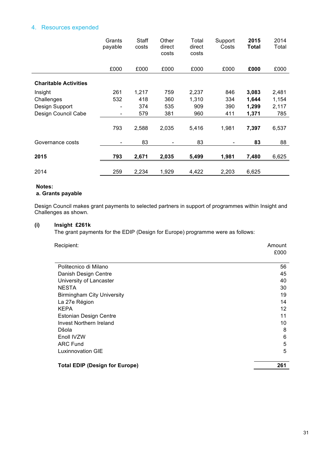### 4. Resources expended

|                              | Grants<br>payable            | Staff<br>costs | Other<br>direct<br>costs | Total<br>direct<br>costs | Support<br>Costs | 2015<br>Total | 2014<br>Total |
|------------------------------|------------------------------|----------------|--------------------------|--------------------------|------------------|---------------|---------------|
|                              | £000                         | £000           | £000                     | £000                     | £000             | £000          | £000          |
| <b>Charitable Activities</b> |                              |                |                          |                          |                  |               |               |
| Insight                      | 261                          | 1,217          | 759                      | 2,237                    | 846              | 3,083         | 2,481         |
| Challenges                   | 532                          | 418            | 360                      | 1,310                    | 334              | 1,644         | 1,154         |
| Design Support               |                              | 374            | 535                      | 909                      | 390              | 1,299         | 2,117         |
| Design Council Cabe          | $\overline{a}$               | 579            | 381                      | 960                      | 411              | 1,371         | 785           |
|                              | 793                          | 2,588          | 2,035                    | 5,416                    | 1,981            | 7,397         | 6,537         |
| Governance costs             | $\qquad \qquad \blacksquare$ | 83             |                          | 83                       |                  | 83            | 88            |
| 2015                         | 793                          | 2,671          | 2,035                    | 5,499                    | 1,981            | 7,480         | 6,625         |
| 2014                         | 259                          | 2,234          | 1,929                    | 4,422                    | 2,203            | 6,625         |               |

#### **Notes:**

l,

### **a. Grants payable**

Design Council makes grant payments to selected partners in support of programmes within Insight and Challenges as shown.

#### **(i) Insight £261k**

The grant payments for the EDIP (Design for Europe) programme were as follows:

| Recipient:                            | Amount<br>£000 |
|---------------------------------------|----------------|
| Politecnico di Milano                 | 56             |
| Danish Design Centre                  | 45             |
| University of Lancaster               | 40             |
| <b>NESTA</b>                          | 30             |
| <b>Birmingham City University</b>     | 19             |
| La 27e Région                         | 14             |
| <b>KEPA</b>                           | 12             |
| <b>Estonian Design Centre</b>         | 11             |
| Invest Northern Ireland               | 10             |
| Dšola                                 | 8              |
| Enoll IVZW                            | 6              |
| <b>ARC Fund</b>                       | 5              |
| Luxinnovation GIE                     | 5              |
| <b>Total EDIP (Design for Europe)</b> | 261            |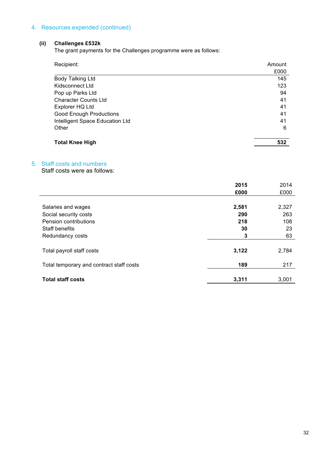### 4. Resources expended (continued)

### **(ii) Challenges £532k**

The grant payments for the Challenges programme were as follows:

| Recipient:                      | Amount |
|---------------------------------|--------|
|                                 | £000   |
| Body Talking Ltd                | 145    |
| Kidsconnect Ltd                 | 123    |
| Pop up Parks Ltd                | 94     |
| <b>Character Counts Ltd</b>     | 41     |
| Explorer HQ Ltd                 | 41     |
| <b>Good Enough Productions</b>  | 41     |
| Intelligent Space Education Ltd | 41     |
| Other                           | 6      |
| <b>Total Knee High</b>          | 532    |

### 5. Staff costs and numbers

Staff costs were as follows:

|                                          | 2015  | 2014  |
|------------------------------------------|-------|-------|
|                                          | £000  | £000  |
|                                          |       |       |
| Salaries and wages                       | 2,581 | 2,327 |
| Social security costs                    | 290   | 263   |
| Pension contributions                    | 218   | 108   |
| Staff benefits                           | 30    | 23    |
| Redundancy costs                         | 3     | 63    |
| Total payroll staff costs                | 3,122 | 2,784 |
| Total temporary and contract staff costs | 189   | 217   |
| <b>Total staff costs</b>                 | 3,311 | 3,001 |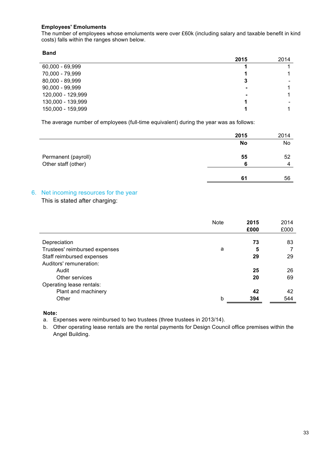### **Employees' Emoluments**

The number of employees whose emoluments were over £60k (including salary and taxable benefit in kind costs) falls within the ranges shown below.

#### **Band**

 $\overline{a}$ 

|                   | 2015           | 2014 |
|-------------------|----------------|------|
| 60,000 - 69,999   |                |      |
| 70,000 - 79,999   |                |      |
| 80,000 - 89,999   | 3              |      |
| $90,000 - 99,999$ |                |      |
| 120,000 - 129,999 | $\blacksquare$ |      |
| 130,000 - 139,999 |                |      |
| 150,000 - 159,999 |                |      |

The average number of employees (full-time equivalent) during the year was as follows:

|                     | 2015 | 2014 |
|---------------------|------|------|
|                     | No   | No   |
| Permanent (payroll) | 55   | 52   |
| Other staff (other) | 6    | Δ    |
|                     |      |      |
|                     | 61   | 56   |

### 6. Net incoming resources for the year

### This is stated after charging:

|                               | <b>Note</b> | 2015<br>£000 | 2014<br>£000 |
|-------------------------------|-------------|--------------|--------------|
|                               |             |              |              |
| Depreciation                  |             | 73           | 83           |
| Trustees' reimbursed expenses | а           | 5            |              |
| Staff reimbursed expenses     |             | 29           | 29           |
| Auditors' remuneration:       |             |              |              |
| Audit                         |             | 25           | 26           |
| Other services                |             | 20           | 69           |
| Operating lease rentals:      |             |              |              |
| Plant and machinery           |             | 42           | 42           |
| Other                         | h           | 394          | 544          |

**Note:**

a. Expenses were reimbursed to two trustees (three trustees in 2013/14).

b. Other operating lease rentals are the rental payments for Design Council office premises within the Angel Building.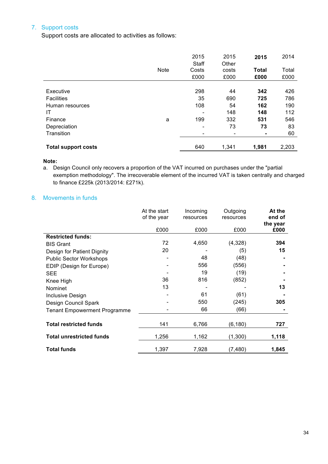### 7. Support costs

Support costs are allocated to activities as follows:

|                            |             | 2015  | 2015                     | 2015           | 2014  |
|----------------------------|-------------|-------|--------------------------|----------------|-------|
|                            |             | Staff | Other                    |                |       |
|                            | <b>Note</b> | Costs | costs                    | <b>Total</b>   | Total |
|                            |             | £000  | £000                     | £000           | £000  |
|                            |             |       |                          |                |       |
| Executive                  |             | 298   | 44                       | 342            | 426   |
| <b>Facilities</b>          |             | 35    | 690                      | 725            | 786   |
| Human resources            |             | 108   | 54                       | 162            | 190   |
| ΙT                         |             |       | 148                      | 148            | 112   |
| Finance                    | a           | 199   | 332                      | 531            | 546   |
| Depreciation               |             | -     | 73                       | 73             | 83    |
| Transition                 |             |       | $\overline{\phantom{a}}$ | $\blacksquare$ | 60    |
| <b>Total support costs</b> |             | 640   | 1,341                    | 1,981          | 2,203 |

**Note:**

a. Design Council only recovers a proportion of the VAT incurred on purchases under the "partial exemption methodology". The irrecoverable element of the incurred VAT is taken centrally and charged to finance £225k (2013/2014: £271k).

### 8. Movements in funds

|                                     | At the start<br>of the year | Incoming<br>resources | Outgoing<br>resources | At the<br>end of<br>the year |
|-------------------------------------|-----------------------------|-----------------------|-----------------------|------------------------------|
|                                     | £000                        | £000                  | £000                  | £000                         |
| <b>Restricted funds:</b>            |                             |                       |                       |                              |
| <b>BIS Grant</b>                    | 72                          | 4,650                 | (4,328)               | 394                          |
| Design for Patient Dignity          | 20                          |                       | (5)                   | 15                           |
| <b>Public Sector Workshops</b>      |                             | 48                    | (48)                  |                              |
| EDIP (Design for Europe)            |                             | 556                   | (556)                 |                              |
| <b>SEE</b>                          |                             | 19                    | (19)                  |                              |
| Knee High                           | 36                          | 816                   | (852)                 |                              |
| Nominet                             | 13                          |                       |                       | 13                           |
| <b>Inclusive Design</b>             |                             | 61                    | (61)                  |                              |
| Design Council Spark                |                             | 550                   | (245)                 | 305                          |
| <b>Tenant Empowerment Programme</b> |                             | 66                    | (66)                  |                              |
|                                     |                             |                       |                       |                              |
| <b>Total restricted funds</b>       | 141                         | 6,766                 | (6, 180)              | 727                          |
| <b>Total unrestricted funds</b>     | 1,256                       | 1,162                 | (1,300)               | 1,118                        |
| <b>Total funds</b>                  | 1,397                       | 7,928                 | (7,480)               | 1,845                        |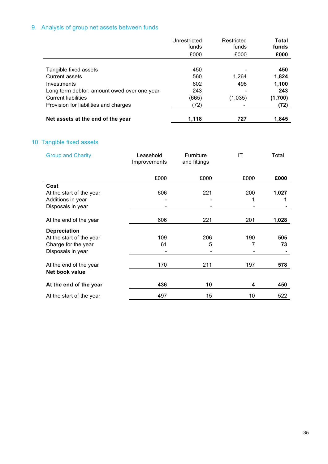# 9. Analysis of group net assets between funds

|                                             | Unrestricted<br>funds | Restricted<br>funds | Total<br>funds |
|---------------------------------------------|-----------------------|---------------------|----------------|
|                                             | £000                  | £000                | £000           |
| Tangible fixed assets                       | 450                   |                     | 450            |
| <b>Current assets</b>                       | 560                   | 1,264               | 1,824          |
| Investments                                 | 602                   | 498                 | 1,100          |
| Long term debtor: amount owed over one year | 243                   |                     | 243            |
| <b>Current liabilities</b>                  | (665)                 | (1,035)             | (1,700)        |
| Provision for liabilities and charges       | (72)                  |                     | (72)           |
| Net assets at the end of the year           | 1,118                 | 727                 | 1.845          |

# 10. Tangible fixed assets

| <b>Group and Charity</b> | Leasehold<br>Improvements | <b>Furniture</b><br>and fittings | IT   | Total |
|--------------------------|---------------------------|----------------------------------|------|-------|
|                          | £000                      | £000                             | £000 | £000  |
| Cost                     |                           |                                  |      |       |
| At the start of the year | 606                       | 221                              | 200  | 1,027 |
| Additions in year        |                           |                                  |      |       |
| Disposals in year        |                           |                                  |      |       |
| At the end of the year   | 606                       | 221                              | 201  | 1,028 |
| <b>Depreciation</b>      |                           |                                  |      |       |
| At the start of the year | 109                       | 206                              | 190  | 505   |
| Charge for the year      | 61                        | 5                                |      | 73    |
| Disposals in year        |                           |                                  |      |       |
| At the end of the year   | 170                       | 211                              | 197  | 578   |
| Net book value           |                           |                                  |      |       |
| At the end of the year   | 436                       | 10                               |      | 450   |
| At the start of the year | 497                       | 15                               | 10   | 522   |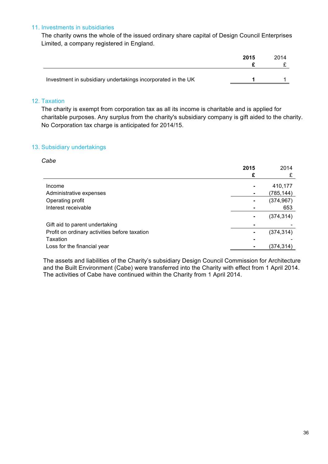### 11. Investments in subsidiaries

The charity owns the whole of the issued ordinary share capital of Design Council Enterprises Limited, a company registered in England.

|                                                              | 2015 | 2014 |
|--------------------------------------------------------------|------|------|
|                                                              |      |      |
|                                                              |      |      |
| Investment in subsidiary undertakings incorporated in the UK |      |      |

### 12. Taxation

The charity is exempt from corporation tax as all its income is charitable and is applied for charitable purposes. Any surplus from the charity's subsidiary company is gift aided to the charity. No Corporation tax charge is anticipated for 2014/15.

### 13. Subsidiary undertakings

#### *Cabe*

|                                               | 2015           | 2014       |
|-----------------------------------------------|----------------|------------|
|                                               | £              |            |
| Income                                        | $\blacksquare$ | 410,177    |
|                                               |                |            |
| Administrative expenses                       | $\blacksquare$ | (785, 144) |
| Operating profit                              | $\blacksquare$ | (374, 967) |
| Interest receivable                           |                | 653        |
|                                               | $\blacksquare$ | (374, 314) |
| Gift aid to parent undertaking                | $\blacksquare$ |            |
| Profit on ordinary activities before taxation | $\blacksquare$ | (374, 314) |
| Taxation                                      | $\blacksquare$ |            |
| Loss for the financial year                   | $\blacksquare$ | (374,314)  |

The assets and liabilities of the Charity's subsidiary Design Council Commission for Architecture and the Built Environment (Cabe) were transferred into the Charity with effect from 1 April 2014. The activities of Cabe have continued within the Charity from 1 April 2014.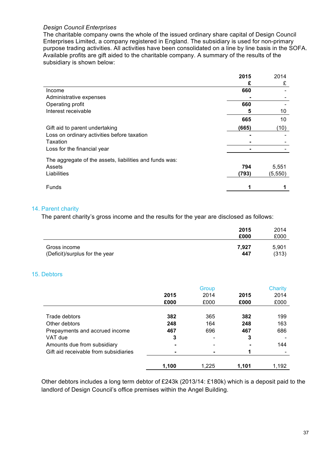### *Design Council Enterprises*

The charitable company owns the whole of the issued ordinary share capital of Design Council Enterprises Limited, a company registered in England. The subsidiary is used for non-primary purpose trading activities. All activities have been consolidated on a line by line basis in the SOFA. Available profits are gift aided to the charitable company. A summary of the results of the subsidiary is shown below:

|                                                         | 2015  | 2014    |
|---------------------------------------------------------|-------|---------|
|                                                         | £     | £       |
| Income                                                  | 660   |         |
| Administrative expenses                                 |       |         |
| Operating profit                                        | 660   |         |
| Interest receivable                                     | 5     | 10      |
|                                                         | 665   | 10      |
| Gift aid to parent undertaking                          | (665) | (10)    |
| Loss on ordinary activities before taxation             |       |         |
| Taxation                                                |       |         |
| Loss for the financial year                             |       |         |
| The aggregate of the assets, liabilities and funds was: |       |         |
| Assets                                                  | 794   | 5,551   |
| Liabilities                                             | (793) | (5,550) |
| <b>Funds</b>                                            | 1     |         |

### 14. Parent charity

The parent charity's gross income and the results for the year are disclosed as follows:

|                                | 2015<br>£000 | 2014<br>£000 |
|--------------------------------|--------------|--------------|
| Gross income                   | 7.927        | 5,901        |
| (Deficit)/surplus for the year | 447          | (313)        |

### 15. Debtors

|                                       |       | Group |                | <b>Charity</b> |
|---------------------------------------|-------|-------|----------------|----------------|
|                                       | 2015  | 2014  | 2015           | 2014           |
|                                       | £000  | £000  | £000           | £000           |
| Trade debtors                         | 382   | 365   | 382            | 199            |
| Other debtors                         | 248   | 164   | 248            | 163            |
| Prepayments and accrued income        | 467   | 696   | 467            | 686            |
| VAT due                               | 3     |       | 3              |                |
| Amounts due from subsidiary           |       |       | $\blacksquare$ | 144            |
| Gift aid receivable from subsidiaries |       |       |                |                |
|                                       | 1,100 | 1.225 | 1.101          | 1,192          |

Other debtors includes a long term debtor of £243k (2013/14: £180k) which is a deposit paid to the landlord of Design Council's office premises within the Angel Building.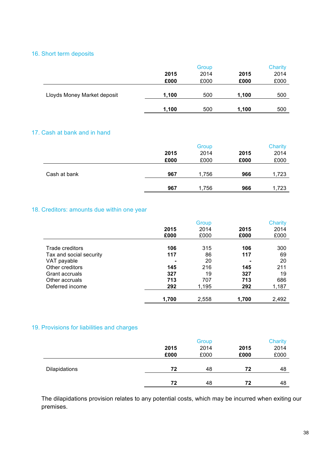### 16. Short term deposits

|                             | Group |      |       | Charity |  |
|-----------------------------|-------|------|-------|---------|--|
|                             | 2015  | 2014 | 2015  | 2014    |  |
|                             | £000  | £000 | £000  | £000    |  |
|                             |       |      |       |         |  |
| Lloyds Money Market deposit | 1,100 | 500  | 1.100 | 500     |  |
|                             |       |      |       |         |  |
|                             | 1,100 | 500  | 1,100 | 500     |  |

### 17. Cash at bank and in hand

|              |      | Group |      | Charity |
|--------------|------|-------|------|---------|
|              | 2015 | 2014  | 2015 | 2014    |
|              | £000 | £000  | £000 | £000    |
|              |      |       |      |         |
| Cash at bank | 967  | 1,756 | 966  | 1,723   |
|              |      |       |      |         |
|              | 967  | 1,756 | 966  | 1,723   |
|              |      |       |      |         |

### 18. Creditors: amounts due within one year

|                         |       | Group |       | Charity |
|-------------------------|-------|-------|-------|---------|
|                         | 2015  | 2014  | 2015  | 2014    |
|                         | £000  | £000  | £000  | £000    |
| Trade creditors         | 106   | 315   | 106   | 300     |
| Tax and social security | 117   | 86    | 117   | 69      |
| VAT payable             |       | 20    |       | 20      |
| Other creditors         | 145   | 216   | 145   | 211     |
| Grant accruals          | 327   | 19    | 327   | 19      |
| Other accruals          | 713   | 707   | 713   | 686     |
| Deferred income         | 292   | 1,195 | 292   | 1,187   |
|                         |       |       |       |         |
|                         | 1,700 | 2,558 | 1,700 | 2,492   |

### 19. Provisions for liabilities and charges

|                      |      | Group |      |      |
|----------------------|------|-------|------|------|
|                      | 2015 | 2014  | 2015 | 2014 |
|                      | £000 | £000  | £000 | £000 |
|                      |      |       |      |      |
| <b>Dilapidations</b> | 72   | 48    | 72   | 48   |
|                      |      |       |      |      |
|                      | 72   | 48    | 72   | 48   |

The dilapidations provision relates to any potential costs, which may be incurred when exiting our premises.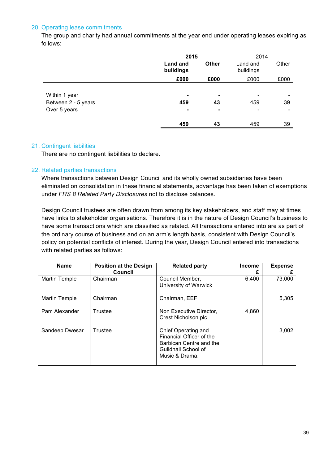### 20. Operating lease commitments

The group and charity had annual commitments at the year end under operating leases expiring as follows:

|                                                      | 2015                         |                                        | 2014                  |       |
|------------------------------------------------------|------------------------------|----------------------------------------|-----------------------|-------|
|                                                      | <b>Land and</b><br>buildings | <b>Other</b>                           | Land and<br>buildings | Other |
|                                                      | £000                         | £000                                   | £000                  | £000  |
| Within 1 year<br>Between 2 - 5 years<br>Over 5 years | -<br>459                     | $\blacksquare$<br>43<br>$\blacksquare$ | 459                   | 39    |
|                                                      | 459                          | 43                                     | 459                   | 39    |

### 21. Contingent liabilities

There are no contingent liabilities to declare.

### 22. Related parties transactions

Where transactions between Design Council and its wholly owned subsidiaries have been eliminated on consolidation in these financial statements, advantage has been taken of exemptions under *FRS 8 Related Party Disclosures* not to disclose balances.

Design Council trustees are often drawn from among its key stakeholders, and staff may at times have links to stakeholder organisations. Therefore it is in the nature of Design Council's business to have some transactions which are classified as related. All transactions entered into are as part of the ordinary course of business and on an arm's length basis, consistent with Design Council's policy on potential conflicts of interest. During the year, Design Council entered into transactions with related parties as follows:

| <b>Name</b>    | <b>Position at the Design</b><br><b>Council</b> | <b>Related party</b>                                                                                                | Income | <b>Expense</b><br>£ |
|----------------|-------------------------------------------------|---------------------------------------------------------------------------------------------------------------------|--------|---------------------|
| Martin Temple  | Chairman                                        | Council Member,<br>University of Warwick                                                                            | 6,400  | 73,000              |
| Martin Temple  | Chairman                                        | Chairman, EEF                                                                                                       |        | 5,305               |
| Pam Alexander  | Trustee                                         | Non Executive Director,<br>Crest Nicholson plc                                                                      | 4,860  |                     |
| Sandeep Dwesar | Trustee                                         | Chief Operating and<br>Financial Officer of the<br>Barbican Centre and the<br>Guildhall School of<br>Music & Drama. |        | 3,002               |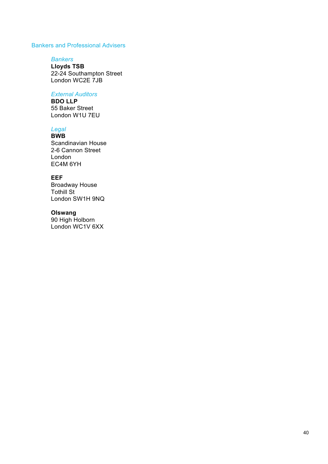### Bankers and Professional Advisers

#### *Bankers*

**Lloyds TSB**  22-24 Southampton Street London WC2E 7JB

### *External Auditors*

**BDO LLP** 55 Baker Street London W1U 7EU

### *Legal*

**BWB**  Scandinavian House 2-6 Cannon Street London EC4M 6YH

### **EEF**

Broadway House Tothill St London SW1H 9NQ

### **Olswang**

90 High Holborn London WC1V 6XX